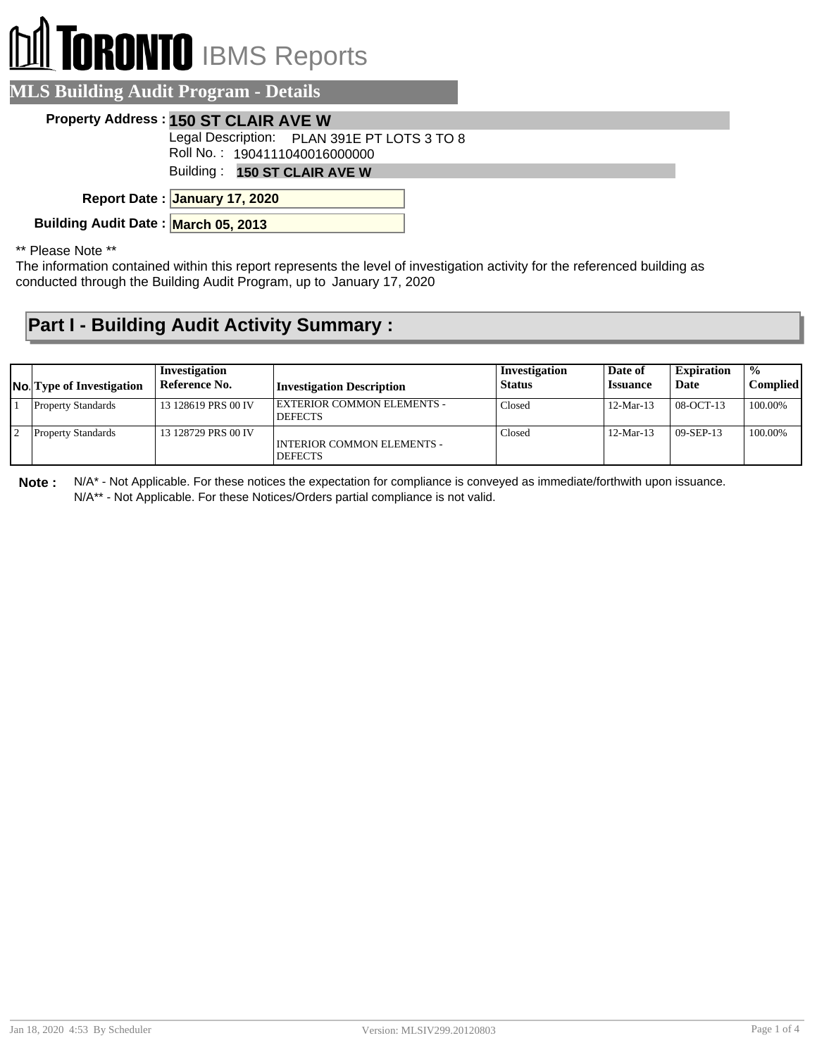# **TORONTO** IBMS Reports

|  | <b>MLS Building Audit Program - Details</b> |  |
|--|---------------------------------------------|--|
|  |                                             |  |

#### **Property Address : 150 ST CLAIR AVE W**

Legal Description: PLAN 391E PT LOTS 3 TO 8

Roll No. : 1904111040016000000

Building : **150 ST CLAIR AVE W**

**January 17, 2020 Report Date :**

**Building Audit Date : March 05, 2013**

\*\* Please Note \*\*

The information contained within this report represents the level of investigation activity for the referenced building as conducted through the Building Audit Program, up to January 17, 2020

### **Part I - Building Audit Activity Summary :**

| <b>No.</b> Type of Investigation | Investigation<br>Reference No. | <b>Investigation Description</b>             | Investigation<br><b>Status</b> | Date of<br><b>Issuance</b> | <b>Expiration</b><br>Date | $\frac{0}{0}$<br><b>Complied</b> |
|----------------------------------|--------------------------------|----------------------------------------------|--------------------------------|----------------------------|---------------------------|----------------------------------|
| <b>Property Standards</b>        | 13 128619 PRS 00 IV            | EXTERIOR COMMON ELEMENTS -<br><b>DEFECTS</b> | Closed                         | $12-Mar-13$                | $08-CCT-13$               | 100.00%                          |
| <b>Property Standards</b>        | 13 128729 PRS 00 IV            | INTERIOR COMMON ELEMENTS -<br><b>DEFECTS</b> | Closed                         | $12-Mar-13$                | $09-$ SEP-13              | 100.00%                          |

**Note :** N/A\* - Not Applicable. For these notices the expectation for compliance is conveyed as immediate/forthwith upon issuance. N/A\*\* - Not Applicable. For these Notices/Orders partial compliance is not valid.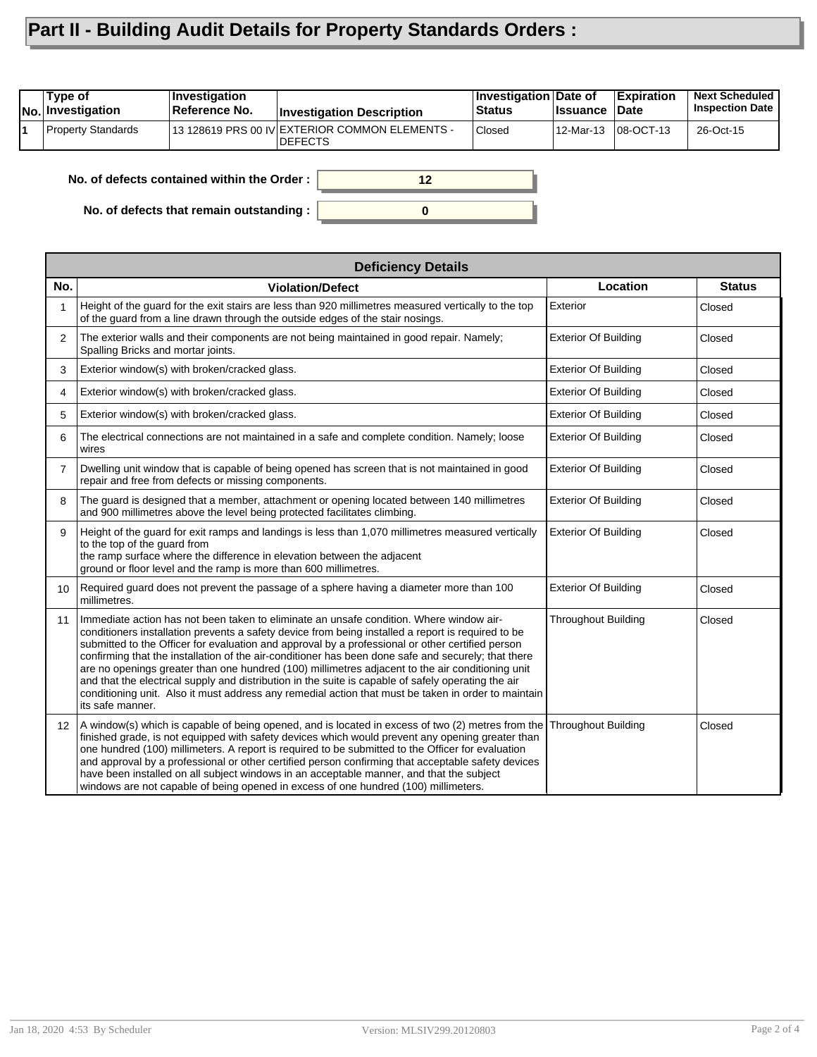## **Part II - Building Audit Details for Property Standards Orders :**

| Type of<br><b>No. Investigation</b> | Investigation<br>Reference No. | <b>Investigation Description</b>                                  | Investigation Date of<br>∣Status | <b>Issuance</b> | <b>Expiration</b><br>∣Date | <b>Next Scheduled</b><br><b>Inspection Date</b> |
|-------------------------------------|--------------------------------|-------------------------------------------------------------------|----------------------------------|-----------------|----------------------------|-------------------------------------------------|
| <b>Property Standards</b>           |                                | 13 128619 PRS 00 IV EXTERIOR COMMON ELEMENTS -<br><b>IDEFECTS</b> | <b>Closed</b>                    |                 |                            | 26-Oct-15                                       |
|                                     |                                |                                                                   |                                  |                 |                            |                                                 |

**0**

**12**

**No. of defects contained within the Order :**

**No. of defects that remain outstanding :**

|                   | <b>Deficiency Details</b>                                                                                                                                                                                                                                                                                                                                                                                                                                                                                                                                                                                                                                                                                                                      |                             |               |
|-------------------|------------------------------------------------------------------------------------------------------------------------------------------------------------------------------------------------------------------------------------------------------------------------------------------------------------------------------------------------------------------------------------------------------------------------------------------------------------------------------------------------------------------------------------------------------------------------------------------------------------------------------------------------------------------------------------------------------------------------------------------------|-----------------------------|---------------|
| No.               | <b>Violation/Defect</b>                                                                                                                                                                                                                                                                                                                                                                                                                                                                                                                                                                                                                                                                                                                        | Location                    | <b>Status</b> |
| 1                 | Height of the quard for the exit stairs are less than 920 millimetres measured vertically to the top<br>of the guard from a line drawn through the outside edges of the stair nosings.                                                                                                                                                                                                                                                                                                                                                                                                                                                                                                                                                         | Exterior                    | Closed        |
| $\overline{2}$    | The exterior walls and their components are not being maintained in good repair. Namely;<br>Spalling Bricks and mortar joints.                                                                                                                                                                                                                                                                                                                                                                                                                                                                                                                                                                                                                 | <b>Exterior Of Building</b> | Closed        |
| 3                 | Exterior window(s) with broken/cracked glass.                                                                                                                                                                                                                                                                                                                                                                                                                                                                                                                                                                                                                                                                                                  | <b>Exterior Of Building</b> | Closed        |
| 4                 | Exterior window(s) with broken/cracked glass.                                                                                                                                                                                                                                                                                                                                                                                                                                                                                                                                                                                                                                                                                                  | <b>Exterior Of Building</b> | Closed        |
| 5                 | Exterior window(s) with broken/cracked glass.                                                                                                                                                                                                                                                                                                                                                                                                                                                                                                                                                                                                                                                                                                  | <b>Exterior Of Building</b> | Closed        |
| 6                 | The electrical connections are not maintained in a safe and complete condition. Namely; loose<br>wires                                                                                                                                                                                                                                                                                                                                                                                                                                                                                                                                                                                                                                         | <b>Exterior Of Building</b> | Closed        |
| $\overline{7}$    | Dwelling unit window that is capable of being opened has screen that is not maintained in good<br>repair and free from defects or missing components.                                                                                                                                                                                                                                                                                                                                                                                                                                                                                                                                                                                          | <b>Exterior Of Building</b> | Closed        |
| 8                 | The guard is designed that a member, attachment or opening located between 140 millimetres<br>and 900 millimetres above the level being protected facilitates climbing.                                                                                                                                                                                                                                                                                                                                                                                                                                                                                                                                                                        | <b>Exterior Of Building</b> | Closed        |
| 9                 | Height of the guard for exit ramps and landings is less than 1,070 millimetres measured vertically<br>to the top of the guard from<br>the ramp surface where the difference in elevation between the adjacent<br>ground or floor level and the ramp is more than 600 millimetres.                                                                                                                                                                                                                                                                                                                                                                                                                                                              | <b>Exterior Of Building</b> | Closed        |
| 10                | Required guard does not prevent the passage of a sphere having a diameter more than 100<br>millimetres.                                                                                                                                                                                                                                                                                                                                                                                                                                                                                                                                                                                                                                        | <b>Exterior Of Building</b> | Closed        |
| 11                | Immediate action has not been taken to eliminate an unsafe condition. Where window air-<br>conditioners installation prevents a safety device from being installed a report is required to be<br>submitted to the Officer for evaluation and approval by a professional or other certified person<br>confirming that the installation of the air-conditioner has been done safe and securely; that there<br>are no openings greater than one hundred (100) millimetres adjacent to the air conditioning unit<br>and that the electrical supply and distribution in the suite is capable of safely operating the air<br>conditioning unit. Also it must address any remedial action that must be taken in order to maintain<br>its safe manner. | <b>Throughout Building</b>  | Closed        |
| $12 \overline{ }$ | A window(s) which is capable of being opened, and is located in excess of two (2) metres from the<br>finished grade, is not equipped with safety devices which would prevent any opening greater than<br>one hundred (100) millimeters. A report is required to be submitted to the Officer for evaluation<br>and approval by a professional or other certified person confirming that acceptable safety devices<br>have been installed on all subject windows in an acceptable manner, and that the subject<br>windows are not capable of being opened in excess of one hundred (100) millimeters.                                                                                                                                            | <b>Throughout Building</b>  | Closed        |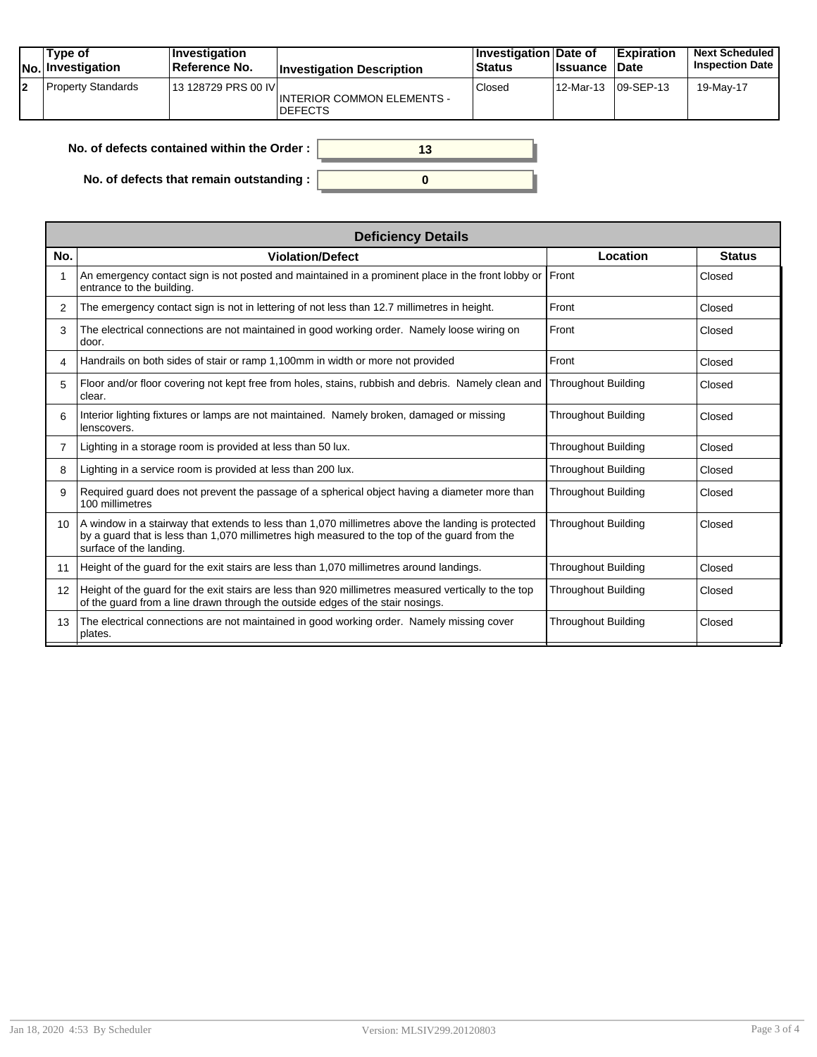|    | Type of<br><b>No. Investigation</b> | <b>Investigation</b><br>⊺Reference No. | <b>Investigation Description</b>                    | Investigation Date of<br><b>Status</b> | <b>Issuance</b> | <b>Expiration</b><br><b>Date</b> | <b>Next Scheduled</b><br><b>Inspection Date</b> |
|----|-------------------------------------|----------------------------------------|-----------------------------------------------------|----------------------------------------|-----------------|----------------------------------|-------------------------------------------------|
| l2 | <b>Property Standards</b>           | 13 128729 PRS 00 IVI                   | <b>INTERIOR COMMON ELEMENTS -</b><br><b>DEFECTS</b> | Closed                                 | 12-Mar-13       | $ 09-SEP-13 $                    | 19-May-17                                       |

| No. of defects contained within the Order : |  |
|---------------------------------------------|--|
| No. of defects that remain outstanding :    |  |

|                | <b>Deficiency Details</b>                                                                                                                                                                                                     |                            |               |  |  |  |  |
|----------------|-------------------------------------------------------------------------------------------------------------------------------------------------------------------------------------------------------------------------------|----------------------------|---------------|--|--|--|--|
| No.            | <b>Violation/Defect</b>                                                                                                                                                                                                       | Location                   | <b>Status</b> |  |  |  |  |
|                | An emergency contact sign is not posted and maintained in a prominent place in the front lobby or Front<br>entrance to the building.                                                                                          |                            | Closed        |  |  |  |  |
| 2              | The emergency contact sign is not in lettering of not less than 12.7 millimetres in height.                                                                                                                                   | Front                      | Closed        |  |  |  |  |
| 3              | The electrical connections are not maintained in good working order. Namely loose wiring on<br>door.                                                                                                                          | Front                      | Closed        |  |  |  |  |
| 4              | Handrails on both sides of stair or ramp 1,100mm in width or more not provided                                                                                                                                                | Front                      | Closed        |  |  |  |  |
| 5              | Floor and/or floor covering not kept free from holes, stains, rubbish and debris. Namely clean and<br>clear.                                                                                                                  | <b>Throughout Building</b> | Closed        |  |  |  |  |
| 6              | Interior lighting fixtures or lamps are not maintained. Namely broken, damaged or missing<br>lenscovers.                                                                                                                      | <b>Throughout Building</b> | Closed        |  |  |  |  |
| $\overline{7}$ | Lighting in a storage room is provided at less than 50 lux.                                                                                                                                                                   | <b>Throughout Building</b> | Closed        |  |  |  |  |
| 8              | Lighting in a service room is provided at less than 200 lux.                                                                                                                                                                  | <b>Throughout Building</b> | Closed        |  |  |  |  |
| 9              | Required quard does not prevent the passage of a spherical object having a diameter more than<br>100 millimetres                                                                                                              | <b>Throughout Building</b> | Closed        |  |  |  |  |
| 10             | A window in a stairway that extends to less than 1,070 millimetres above the landing is protected<br>by a quard that is less than 1,070 millimetres high measured to the top of the quard from the<br>surface of the landing. | <b>Throughout Building</b> | Closed        |  |  |  |  |
| 11             | Height of the guard for the exit stairs are less than 1,070 millimetres around landings.                                                                                                                                      | <b>Throughout Building</b> | Closed        |  |  |  |  |
| 12             | Height of the guard for the exit stairs are less than 920 millimetres measured vertically to the top<br>of the guard from a line drawn through the outside edges of the stair nosings.                                        | <b>Throughout Building</b> | Closed        |  |  |  |  |
| 13             | The electrical connections are not maintained in good working order. Namely missing cover<br>plates.                                                                                                                          | <b>Throughout Building</b> | Closed        |  |  |  |  |